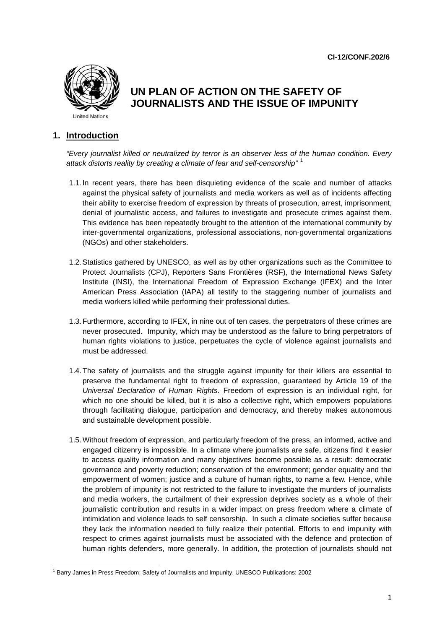**CI-12/CONF.202/6**



# **UN PLAN OF ACTION ON THE SAFETY OF JOURNALISTS AND THE ISSUE OF IMPUNITY**

## **1. Introduction**

*"Every journalist killed or neutralized by terror is an observer less of the human condition. Every attack distorts reality by creating a climate of fear and self-censorship"* [1](#page-0-0)

- 1.1. In recent years, there has been disquieting evidence of the scale and number of attacks against the physical safety of journalists and media workers as well as of incidents affecting their ability to exercise freedom of expression by threats of prosecution, arrest, imprisonment, denial of journalistic access, and failures to investigate and prosecute crimes against them. This evidence has been repeatedly brought to the attention of the international community by inter-governmental organizations, professional associations, non-governmental organizations (NGOs) and other stakeholders.
- 1.2.Statistics gathered by UNESCO, as well as by other organizations such as the Committee to Protect Journalists (CPJ), Reporters Sans Frontières (RSF), the International News Safety Institute (INSI), the International Freedom of Expression Exchange (IFEX) and the Inter American Press Association (IAPA) all testify to the staggering number of journalists and media workers killed while performing their professional duties.
- 1.3.Furthermore, according to IFEX, in nine out of ten cases, the perpetrators of these crimes are never prosecuted. Impunity, which may be understood as the failure to bring perpetrators of human rights violations to justice, perpetuates the cycle of violence against journalists and must be addressed.
- 1.4.The safety of journalists and the struggle against impunity for their killers are essential to preserve the fundamental right to freedom of expression, guaranteed by Article 19 of the *Universal Declaration of Human Rights*. Freedom of expression is an individual right, for which no one should be killed, but it is also a collective right, which empowers populations through facilitating dialogue, participation and democracy, and thereby makes autonomous and sustainable development possible.
- 1.5.Without freedom of expression, and particularly freedom of the press, an informed, active and engaged citizenry is impossible. In a climate where journalists are safe, citizens find it easier to access quality information and many objectives become possible as a result: democratic governance and poverty reduction; conservation of the environment; gender equality and the empowerment of women; justice and a culture of human rights, to name a few*.* Hence, while the problem of impunity is not restricted to the failure to investigate the murders of journalists and media workers, the curtailment of their expression deprives society as a whole of their journalistic contribution and results in a wider impact on press freedom where a climate of intimidation and violence leads to self censorship. In such a climate societies suffer because they lack the information needed to fully realize their potential. Efforts to end impunity with respect to crimes against journalists must be associated with the defence and protection of human rights defenders, more generally. In addition, the protection of journalists should not

<span id="page-0-0"></span> $\overline{a}$ <sup>1</sup> Barry James in Press Freedom: Safety of Journalists and Impunity. UNESCO Publications: 2002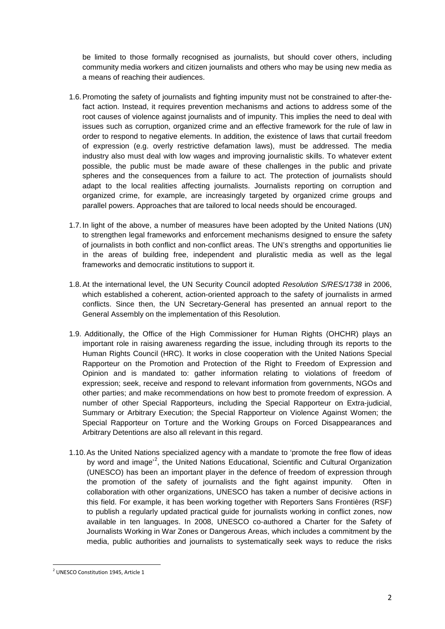be limited to those formally recognised as journalists, but should cover others, including community media workers and citizen journalists and others who may be using new media as a means of reaching their audiences.

- 1.6.Promoting the safety of journalists and fighting impunity must not be constrained to after-thefact action. Instead, it requires prevention mechanisms and actions to address some of the root causes of violence against journalists and of impunity. This implies the need to deal with issues such as corruption, organized crime and an effective framework for the rule of law in order to respond to negative elements. In addition, the existence of laws that curtail freedom of expression (e.g. overly restrictive defamation laws), must be addressed. The media industry also must deal with low wages and improving journalistic skills. To whatever extent possible, the public must be made aware of these challenges in the public and private spheres and the consequences from a failure to act. The protection of journalists should adapt to the local realities affecting journalists. Journalists reporting on corruption and organized crime, for example, are increasingly targeted by organized crime groups and parallel powers. Approaches that are tailored to local needs should be encouraged.
- 1.7. In light of the above, a number of measures have been adopted by the United Nations (UN) to strengthen legal frameworks and enforcement mechanisms designed to ensure the safety of journalists in both conflict and non-conflict areas. The UN's strengths and opportunities lie in the areas of building free, independent and pluralistic media as well as the legal frameworks and democratic institutions to support it.
- 1.8.At the international level, the UN Security Council adopted *Resolution S/RES/1738* in 2006, which established a coherent, action-oriented approach to the safety of journalists in armed conflicts. Since then, the UN Secretary-General has presented an annual report to the General Assembly on the implementation of this Resolution.
- 1.9. Additionally, the Office of the High Commissioner for Human Rights (OHCHR) plays an important role in raising awareness regarding the issue, including through its reports to the Human Rights Council (HRC). It works in close cooperation with the United Nations Special Rapporteur on the Promotion and Protection of the Right to Freedom of Expression and Opinion and is mandated to: gather information relating to violations of freedom of expression; seek, receive and respond to relevant information from governments, NGOs and other parties; and make recommendations on how best to promote freedom of expression. A number of other Special Rapporteurs, including the Special Rapporteur on Extra-judicial, Summary or Arbitrary Execution; the Special Rapporteur on Violence Against Women; the Special Rapporteur on Torture and the Working Groups on Forced Disappearances and Arbitrary Detentions are also all relevant in this regard.
- 1.10.As the United Nations specialized agency with a mandate to 'promote the free flow of ideas by word and image<sup>,[2](#page-1-0)</sup>, the United Nations Educational, Scientific and Cultural Organization (UNESCO) has been an important player in the defence of freedom of expression through the promotion of the safety of journalists and the fight against impunity. Often in collaboration with other organizations, UNESCO has taken a number of decisive actions in this field. For example, it has been working together with Reporters Sans Frontières (RSF) to publish a regularly updated practical guide for journalists working in conflict zones, now available in ten languages. In 2008, UNESCO co-authored a Charter for the Safety of Journalists Working in War Zones or Dangerous Areas, which includes a commitment by the media, public authorities and journalists to systematically seek ways to reduce the risks

<span id="page-1-0"></span><sup>&</sup>lt;sup>2</sup> UNESCO Constitution 1945, Article 1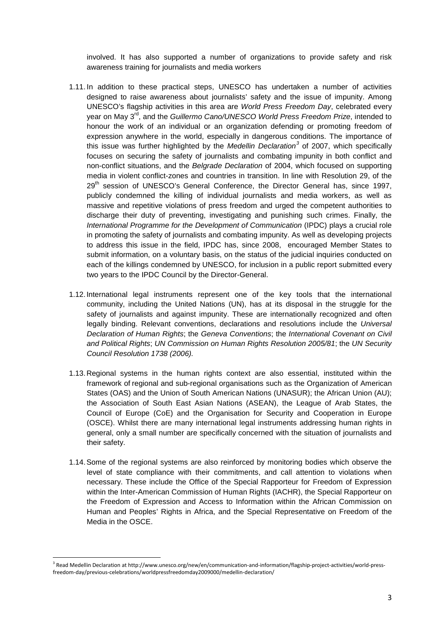involved. It has also supported a number of organizations to provide safety and risk awareness training for journalists and media workers

- 1.11. In addition to these practical steps, UNESCO has undertaken a number of activities designed to raise awareness about journalists' safety and the issue of impunity. Among UNESCO's flagship activities in this area are *World Press Freedom Day*, celebrated every year on May 3rd, and the *Guillermo Cano/UNESCO World Press Freedom Prize*, intended to honour the work of an individual or an organization defending or promoting freedom of expression anywhere in the world, especially in dangerous conditions. The importance of this issue was further highlighted by the *Medellin Declaration[3](#page-2-0)* of 2007, which specifically focuses on securing the safety of journalists and combating impunity in both conflict and non-conflict situations, and the *Belgrade Declaration* of 2004, which focused on supporting media in violent conflict-zones and countries in transition. In line with Resolution 29, of the 29<sup>th</sup> session of UNESCO's General Conference, the Director General has, since 1997, publicly condemned the killing of individual journalists and media workers, as well as massive and repetitive violations of press freedom and urged the competent authorities to discharge their duty of preventing, investigating and punishing such crimes. Finally, the *International Programme for the Development of Communication* (IPDC) plays a crucial role in promoting the safety of journalists and combating impunity. As well as developing projects to address this issue in the field, IPDC has, since 2008, encouraged Member States to submit information, on a voluntary basis, on the status of the judicial inquiries conducted on each of the killings condemned by UNESCO, for inclusion in a public report submitted every two years to the IPDC Council by the Director-General.
- 1.12.International legal instruments represent one of the key tools that the international community, including the United Nations (UN), has at its disposal in the struggle for the safety of journalists and against impunity. These are internationally recognized and often legally binding. Relevant conventions, declarations and resolutions include the *Universal Declaration of Human Rights*; the *Geneva Conventions*; the *International Covenant on Civil and Political Rights*; *UN Commission on Human Rights Resolution 2005/81*; the *UN Security Council Resolution 1738 (2006).*
- 1.13.Regional systems in the human rights context are also essential, instituted within the framework of regional and sub-regional organisations such as the Organization of American States (OAS) and the Union of South American Nations (UNASUR); the African Union (AU); the Association of South East Asian Nations (ASEAN), the League of Arab States, the Council of Europe (CoE) and the Organisation for Security and Cooperation in Europe (OSCE). Whilst there are many international legal instruments addressing human rights in general, only a small number are specifically concerned with the situation of journalists and their safety.
- 1.14.Some of the regional systems are also reinforced by monitoring bodies which observe the level of state compliance with their commitments, and call attention to violations when necessary. These include the Office of the Special Rapporteur for Freedom of Expression within the Inter-American Commission of Human Rights (IACHR), the Special Rapporteur on the Freedom of Expression and Access to Information within the African Commission on Human and Peoples' Rights in Africa, and the Special Representative on Freedom of the Media in the OSCE.

<span id="page-2-0"></span><sup>&</sup>lt;sup>3</sup> Read Medellin Declaration at http://www.unesco.org/new/en/communication-and-information/flagship-project-activities/world-pressfreedom-day/previous-celebrations/worldpressfreedomday2009000/medellin-declaration/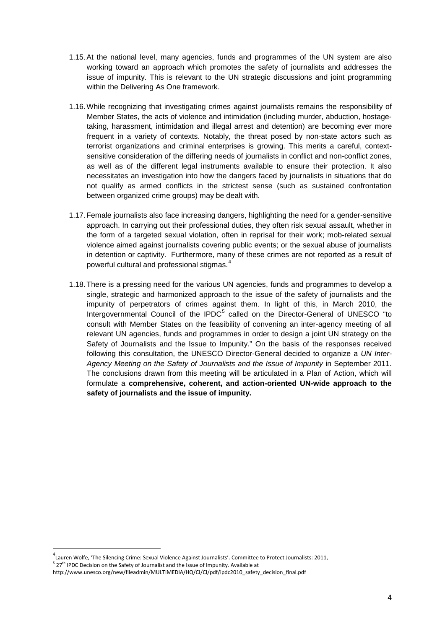- 1.15.At the national level, many agencies, funds and programmes of the UN system are also working toward an approach which promotes the safety of journalists and addresses the issue of impunity. This is relevant to the UN strategic discussions and joint programming within the Delivering As One framework.
- 1.16.While recognizing that investigating crimes against journalists remains the responsibility of Member States, the acts of violence and intimidation (including murder, abduction, hostagetaking, harassment, intimidation and illegal arrest and detention) are becoming ever more frequent in a variety of contexts. Notably, the threat posed by non-state actors such as terrorist organizations and criminal enterprises is growing. This merits a careful, contextsensitive consideration of the differing needs of journalists in conflict and non-conflict zones, as well as of the different legal instruments available to ensure their protection. It also necessitates an investigation into how the dangers faced by journalists in situations that do not qualify as armed conflicts in the strictest sense (such as sustained confrontation between organized crime groups) may be dealt with.
- 1.17.Female journalists also face increasing dangers, highlighting the need for a gender-sensitive approach. In carrying out their professional duties, they often risk sexual assault, whether in the form of a targeted sexual violation, often in reprisal for their work; mob-related sexual violence aimed against journalists covering public events; or the sexual abuse of journalists in detention or captivity. Furthermore, many of these crimes are not reported as a result of powerful cultural and professional stigmas. $^4$  $^4$
- 1.18.There is a pressing need for the various UN agencies, funds and programmes to develop a single, strategic and harmonized approach to the issue of the safety of journalists and the impunity of perpetrators of crimes against them. In light of this, in March 2010, the Intergovernmental Council of the IPDC<sup>[5](#page-3-1)</sup> called on the Director-General of UNESCO "to consult with Member States on the feasibility of convening an inter-agency meeting of all relevant UN agencies, funds and programmes in order to design a joint UN strategy on the Safety of Journalists and the Issue to Impunity." On the basis of the responses received following this consultation, the UNESCO Director-General decided to organize a *UN Inter-Agency Meeting on the Safety of Journalists and the Issue of Impunity* in September 2011. The conclusions drawn from this meeting will be articulated in a Plan of Action, which will formulate a **comprehensive, coherent, and action-oriented UN-wide approach to the safety of journalists and the issue of impunity.**

 <sup>4</sup>  $^4$ Lauren Wolfe, 'The Silencing Crime: Sexual Violence Against Journalists'. Committee to Protect Journalists: 2011,

<span id="page-3-1"></span><span id="page-3-0"></span> $5$  27<sup>th</sup> IPDC Decision on the Safety of Journalist and the Issue of Impunity. Available at

http://www.unesco.org/new/fileadmin/MULTIMEDIA/HQ/CI/CI/pdf/ipdc2010\_safety\_decision\_final.pdf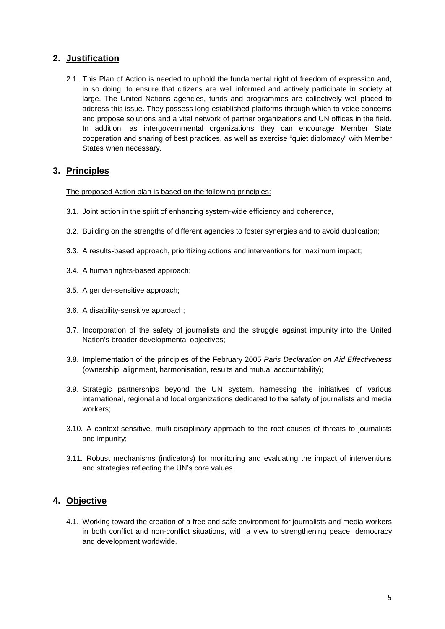## **2. Justification**

2.1. This Plan of Action is needed to uphold the fundamental right of freedom of expression and, in so doing, to ensure that citizens are well informed and actively participate in society at large. The United Nations agencies, funds and programmes are collectively well-placed to address this issue. They possess long-established platforms through which to voice concerns and propose solutions and a vital network of partner organizations and UN offices in the field. In addition, as intergovernmental organizations they can encourage Member State cooperation and sharing of best practices, as well as exercise "quiet diplomacy" with Member States when necessary*.*

## **3. Principles**

The proposed Action plan is based on the following principles:

- 3.1. Joint action in the spirit of enhancing system-wide efficiency and coherenc*e;*
- 3.2. Building on the strengths of different agencies to foster synergies and to avoid duplication;
- 3.3. A results-based approach, prioritizing actions and interventions for maximum impact;
- 3.4. A human rights-based approach;
- 3.5. A gender-sensitive approach;
- 3.6. A disability-sensitive approach;
- 3.7. Incorporation of the safety of journalists and the struggle against impunity into the United Nation's broader developmental objectives;
- 3.8. Implementation of the principles of the February 2005 *Paris Declaration on Aid Effectiveness*  (ownership, alignment, harmonisation, results and mutual accountability);
- 3.9. Strategic partnerships beyond the UN system, harnessing the initiatives of various international, regional and local organizations dedicated to the safety of journalists and media workers;
- 3.10. A context-sensitive, multi-disciplinary approach to the root causes of threats to journalists and impunity;
- 3.11. Robust mechanisms (indicators) for monitoring and evaluating the impact of interventions and strategies reflecting the UN's core values.

## **4. Objective**

4.1. Working toward the creation of a free and safe environment for journalists and media workers in both conflict and non-conflict situations, with a view to strengthening peace, democracy and development worldwide.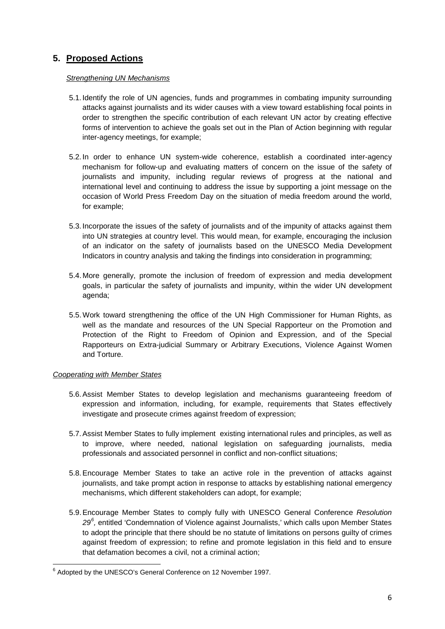# **5. Proposed Actions**

### *Strengthening UN Mechanisms*

- 5.1. Identify the role of UN agencies, funds and programmes in combating impunity surrounding attacks against journalists and its wider causes with a view toward establishing focal points in order to strengthen the specific contribution of each relevant UN actor by creating effective forms of intervention to achieve the goals set out in the Plan of Action beginning with regular inter-agency meetings, for example;
- 5.2. In order to enhance UN system-wide coherence, establish a coordinated inter-agency mechanism for follow-up and evaluating matters of concern on the issue of the safety of journalists and impunity, including regular reviews of progress at the national and international level and continuing to address the issue by supporting a joint message on the occasion of World Press Freedom Day on the situation of media freedom around the world, for example;
- 5.3. Incorporate the issues of the safety of journalists and of the impunity of attacks against them into UN strategies at country level. This would mean, for example, encouraging the inclusion of an indicator on the safety of journalists based on the UNESCO Media Development Indicators in country analysis and taking the findings into consideration in programming;
- 5.4. More generally, promote the inclusion of freedom of expression and media development goals, in particular the safety of journalists and impunity, within the wider UN development agenda;
- 5.5.Work toward strengthening the office of the UN High Commissioner for Human Rights, as well as the mandate and resources of the UN Special Rapporteur on the Promotion and Protection of the Right to Freedom of Opinion and Expression, and of the Special Rapporteurs on Extra-judicial Summary or Arbitrary Executions, Violence Against Women and Torture.

## *Cooperating with Member States*

- 5.6.Assist Member States to develop legislation and mechanisms guaranteeing freedom of expression and information, including, for example, requirements that States effectively investigate and prosecute crimes against freedom of expression;
- 5.7.Assist Member States to fully implement existing international rules and principles, as well as to improve, where needed, national legislation on safeguarding journalists, media professionals and associated personnel in conflict and non-conflict situations;
- 5.8.Encourage Member States to take an active role in the prevention of attacks against journalists, and take prompt action in response to attacks by establishing national emergency mechanisms, which different stakeholders can adopt, for example;
- 5.9.Encourage Member States to comply fully with UNESCO General Conference *Resolution*  29<sup>[6](#page-5-0)</sup>, entitled 'Condemnation of Violence against Journalists,' which calls upon Member States to adopt the principle that there should be no statute of limitations on persons guilty of crimes against freedom of expression; to refine and promote legislation in this field and to ensure that defamation becomes a civil, not a criminal action;

<span id="page-5-0"></span><sup>&</sup>lt;sup>6</sup> Adopted by the UNESCO's General Conference on 12 November 1997.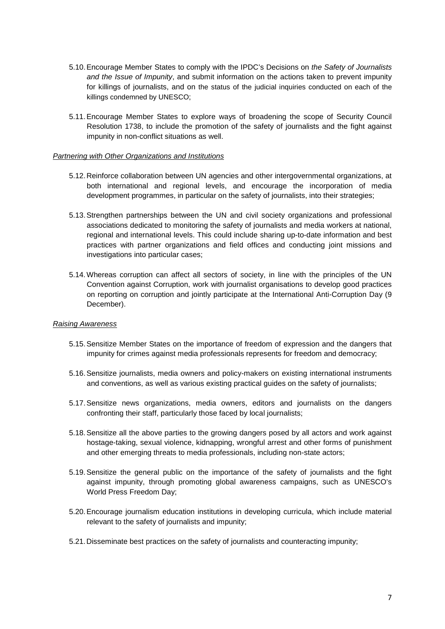- 5.10.Encourage Member States to comply with the IPDC's Decisions on *the Safety of Journalists and the Issue of Impunity*, and submit information on the actions taken to prevent impunity for killings of journalists, and on the status of the judicial inquiries conducted on each of the killings condemned by UNESCO;
- 5.11.Encourage Member States to explore ways of broadening the scope of Security Council Resolution 1738, to include the promotion of the safety of journalists and the fight against impunity in non-conflict situations as well.

#### *Partnering with Other Organizations and Institutions*

- 5.12.Reinforce collaboration between UN agencies and other intergovernmental organizations, at both international and regional levels, and encourage the incorporation of media development programmes, in particular on the safety of journalists, into their strategies;
- 5.13.Strengthen partnerships between the UN and civil society organizations and professional associations dedicated to monitoring the safety of journalists and media workers at national, regional and international levels. This could include sharing up-to-date information and best practices with partner organizations and field offices and conducting joint missions and investigations into particular cases;
- 5.14.Whereas corruption can affect all sectors of society, in line with the principles of the UN Convention against Corruption, work with journalist organisations to develop good practices on reporting on corruption and jointly participate at the International Anti-Corruption Day (9 December).

#### *Raising Awareness*

- 5.15.Sensitize Member States on the importance of freedom of expression and the dangers that impunity for crimes against media professionals represents for freedom and democracy;
- 5.16.Sensitize journalists, media owners and policy-makers on existing international instruments and conventions, as well as various existing practical guides on the safety of journalists;
- 5.17.Sensitize news organizations, media owners, editors and journalists on the dangers confronting their staff, particularly those faced by local journalists;
- 5.18.Sensitize all the above parties to the growing dangers posed by all actors and work against hostage-taking, sexual violence, kidnapping, wrongful arrest and other forms of punishment and other emerging threats to media professionals, including non-state actors;
- 5.19.Sensitize the general public on the importance of the safety of journalists and the fight against impunity, through promoting global awareness campaigns, such as UNESCO's World Press Freedom Day;
- 5.20.Encourage journalism education institutions in developing curricula, which include material relevant to the safety of journalists and impunity;
- 5.21.Disseminate best practices on the safety of journalists and counteracting impunity;